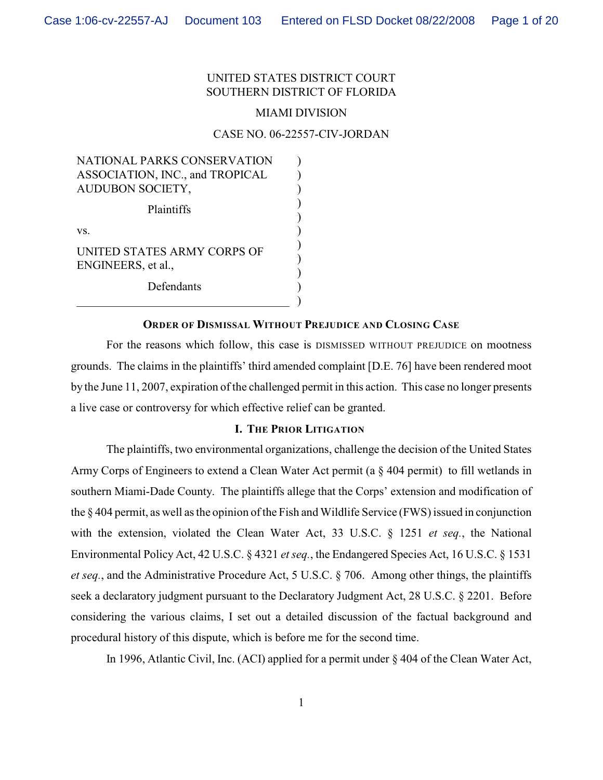# UNITED STATES DISTRICT COURT SOUTHERN DISTRICT OF FLORIDA

#### MIAMI DIVISION

#### CASE NO. 06-22557-CIV-JORDAN

| NATIONAL PARKS CONSERVATION                       |  |
|---------------------------------------------------|--|
| ASSOCIATION, INC., and TROPICAL                   |  |
| AUDUBON SOCIETY,                                  |  |
| Plaintiffs                                        |  |
| VS.                                               |  |
| UNITED STATES ARMY CORPS OF<br>ENGINEERS, et al., |  |
| Defendants                                        |  |
|                                                   |  |

#### **ORDER OF DISMISSAL WITHOUT PREJUDICE AND CLOSING CASE**

For the reasons which follow, this case is DISMISSED WITHOUT PREJUDICE on mootness grounds. The claims in the plaintiffs' third amended complaint [D.E. 76] have been rendered moot by the June 11, 2007, expiration of the challenged permit in this action. This case no longer presents a live case or controversy for which effective relief can be granted.

### **I. THE PRIOR LITIGATION**

The plaintiffs, two environmental organizations, challenge the decision of the United States Army Corps of Engineers to extend a Clean Water Act permit (a § 404 permit) to fill wetlands in southern Miami-Dade County. The plaintiffs allege that the Corps' extension and modification of the § 404 permit, as well as the opinion of the Fish and Wildlife Service (FWS) issued in conjunction with the extension, violated the Clean Water Act, 33 U.S.C. § 1251 *et seq.*, the National Environmental Policy Act, 42 U.S.C. § 4321 *et seq.*, the Endangered Species Act, 16 U.S.C. § 1531 *et seq.*, and the Administrative Procedure Act, 5 U.S.C. § 706. Among other things, the plaintiffs seek a declaratory judgment pursuant to the Declaratory Judgment Act, 28 U.S.C. § 2201. Before considering the various claims, I set out a detailed discussion of the factual background and procedural history of this dispute, which is before me for the second time.

In 1996, Atlantic Civil, Inc. (ACI) applied for a permit under § 404 of the Clean Water Act,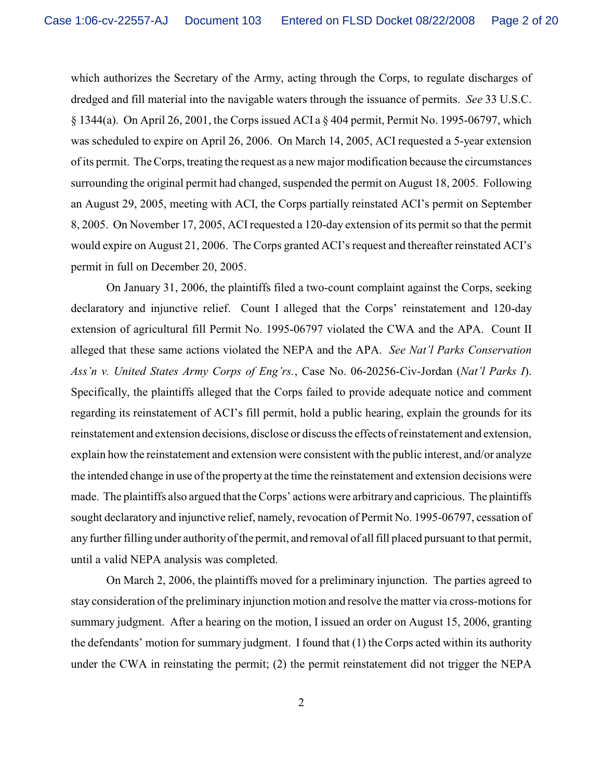which authorizes the Secretary of the Army, acting through the Corps, to regulate discharges of dredged and fill material into the navigable waters through the issuance of permits. *See* 33 U.S.C. § 1344(a). On April 26, 2001, the Corps issued ACI a § 404 permit, Permit No. 1995-06797, which was scheduled to expire on April 26, 2006. On March 14, 2005, ACI requested a 5-year extension of its permit. The Corps, treating the request as a new major modification because the circumstances surrounding the original permit had changed, suspended the permit on August 18, 2005. Following an August 29, 2005, meeting with ACI, the Corps partially reinstated ACI's permit on September 8, 2005. On November 17, 2005, ACI requested a 120-day extension of its permit so that the permit would expire on August 21, 2006. The Corps granted ACI's request and thereafter reinstated ACI's permit in full on December 20, 2005.

On January 31, 2006, the plaintiffs filed a two-count complaint against the Corps, seeking declaratory and injunctive relief. Count I alleged that the Corps' reinstatement and 120-day extension of agricultural fill Permit No. 1995-06797 violated the CWA and the APA. Count II alleged that these same actions violated the NEPA and the APA. *See Nat'l Parks Conservation Ass'n v. United States Army Corps of Eng'rs.*, Case No. 06-20256-Civ-Jordan (*Nat'l Parks I*). Specifically, the plaintiffs alleged that the Corps failed to provide adequate notice and comment regarding its reinstatement of ACI's fill permit, hold a public hearing, explain the grounds for its reinstatement and extension decisions, disclose or discuss the effects of reinstatement and extension, explain how the reinstatement and extension were consistent with the public interest, and/or analyze the intended change in use of the property at the time the reinstatement and extension decisions were made. The plaintiffs also argued that the Corps' actions were arbitrary and capricious. The plaintiffs sought declaratory and injunctive relief, namely, revocation of Permit No. 1995-06797, cessation of any further filling under authorityofthe permit, and removal of all fill placed pursuant to that permit, until a valid NEPA analysis was completed.

On March 2, 2006, the plaintiffs moved for a preliminary injunction. The parties agreed to stay consideration of the preliminary injunction motion and resolve the matter via cross-motions for summary judgment. After a hearing on the motion, I issued an order on August 15, 2006, granting the defendants' motion for summary judgment. I found that (1) the Corps acted within its authority under the CWA in reinstating the permit; (2) the permit reinstatement did not trigger the NEPA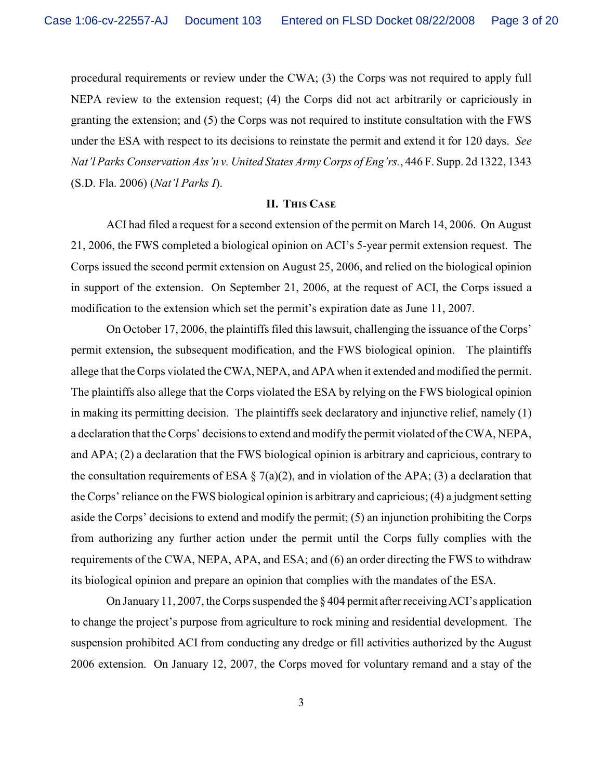procedural requirements or review under the CWA; (3) the Corps was not required to apply full NEPA review to the extension request; (4) the Corps did not act arbitrarily or capriciously in granting the extension; and (5) the Corps was not required to institute consultation with the FWS under the ESA with respect to its decisions to reinstate the permit and extend it for 120 days. *See Nat'l Parks Conservation Ass'n v. United States Army Corps of Eng'rs.*, 446 F. Supp. 2d 1322, 1343 (S.D. Fla. 2006) (*Nat'l Parks I*).

#### **II. THIS CASE**

ACI had filed a request for a second extension of the permit on March 14, 2006. On August 21, 2006, the FWS completed a biological opinion on ACI's 5-year permit extension request. The Corps issued the second permit extension on August 25, 2006, and relied on the biological opinion in support of the extension. On September 21, 2006, at the request of ACI, the Corps issued a modification to the extension which set the permit's expiration date as June 11, 2007.

On October 17, 2006, the plaintiffs filed this lawsuit, challenging the issuance of the Corps' permit extension, the subsequent modification, and the FWS biological opinion. The plaintiffs allege that the Corps violated the CWA, NEPA, and APA when it extended and modified the permit. The plaintiffs also allege that the Corps violated the ESA by relying on the FWS biological opinion in making its permitting decision. The plaintiffs seek declaratory and injunctive relief, namely (1) a declaration that the Corps' decisions to extend and modify the permit violated of the CWA, NEPA, and APA; (2) a declaration that the FWS biological opinion is arbitrary and capricious, contrary to the consultation requirements of ESA  $\S$  7(a)(2), and in violation of the APA; (3) a declaration that the Corps' reliance on the FWS biological opinion is arbitrary and capricious; (4) a judgment setting aside the Corps' decisions to extend and modify the permit; (5) an injunction prohibiting the Corps from authorizing any further action under the permit until the Corps fully complies with the requirements of the CWA, NEPA, APA, and ESA; and (6) an order directing the FWS to withdraw its biological opinion and prepare an opinion that complies with the mandates of the ESA.

On January 11, 2007, the Corps suspended the § 404 permit after receiving ACI's application to change the project's purpose from agriculture to rock mining and residential development. The suspension prohibited ACI from conducting any dredge or fill activities authorized by the August 2006 extension. On January 12, 2007, the Corps moved for voluntary remand and a stay of the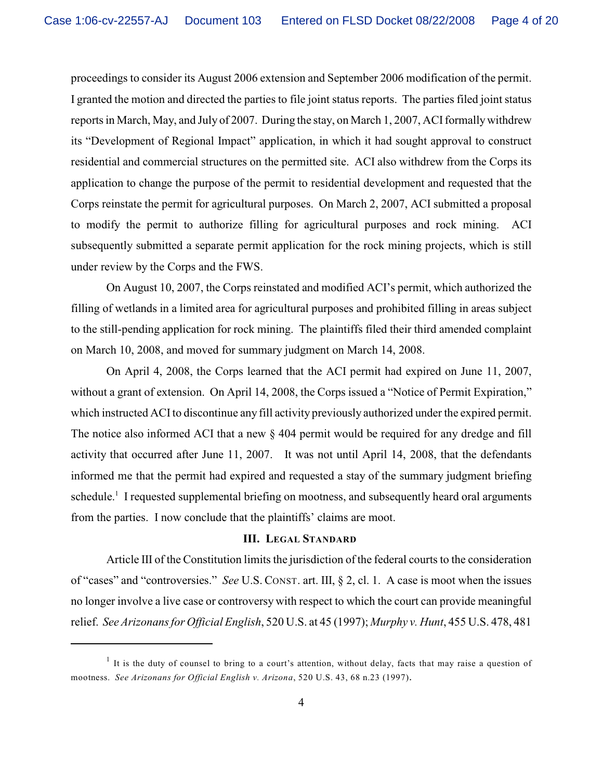proceedings to consider its August 2006 extension and September 2006 modification of the permit. I granted the motion and directed the parties to file joint status reports. The parties filed joint status reports in March, May, and July of 2007. During the stay, on March 1, 2007, ACI formally withdrew its "Development of Regional Impact" application, in which it had sought approval to construct residential and commercial structures on the permitted site. ACI also withdrew from the Corps its application to change the purpose of the permit to residential development and requested that the Corps reinstate the permit for agricultural purposes. On March 2, 2007, ACI submitted a proposal to modify the permit to authorize filling for agricultural purposes and rock mining. ACI subsequently submitted a separate permit application for the rock mining projects, which is still under review by the Corps and the FWS.

On August 10, 2007, the Corps reinstated and modified ACI's permit, which authorized the filling of wetlands in a limited area for agricultural purposes and prohibited filling in areas subject to the still-pending application for rock mining. The plaintiffs filed their third amended complaint on March 10, 2008, and moved for summary judgment on March 14, 2008.

On April 4, 2008, the Corps learned that the ACI permit had expired on June 11, 2007, without a grant of extension. On April 14, 2008, the Corps issued a "Notice of Permit Expiration," which instructed ACI to discontinue any fill activity previously authorized under the expired permit. The notice also informed ACI that a new § 404 permit would be required for any dredge and fill activity that occurred after June 11, 2007. It was not until April 14, 2008, that the defendants informed me that the permit had expired and requested a stay of the summary judgment briefing schedule.<sup>1</sup> I requested supplemental briefing on mootness, and subsequently heard oral arguments from the parties. I now conclude that the plaintiffs' claims are moot.

## **III. LEGAL STANDARD**

Article III of the Constitution limits the jurisdiction of the federal courts to the consideration of "cases" and "controversies." *See* U.S. CONST. art. III, § 2, cl. 1. A case is moot when the issues no longer involve a live case or controversy with respect to which the court can provide meaningful relief. *See Arizonans for Official English*, 520 U.S. at 45 (1997); *Murphy v. Hunt*, 455 U.S. 478, 481

It is the duty of counsel to bring to a court's attention, without delay, facts that may raise a question of mootness. *See Arizonans for Official English v. Arizona*, 520 U.S. 43, 68 n.23 (1997).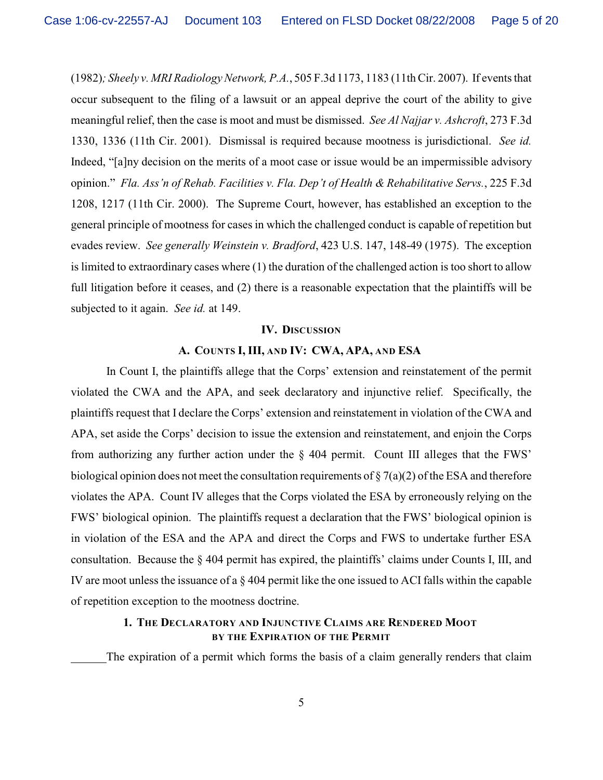(1982)*; Sheely v. MRI Radiology Network, P.A.*, 505 F.3d 1173, 1183 (11th Cir. 2007). If events that occur subsequent to the filing of a lawsuit or an appeal deprive the court of the ability to give meaningful relief, then the case is moot and must be dismissed. *See Al Najjar v. Ashcroft*, 273 F.3d 1330, 1336 (11th Cir. 2001). Dismissal is required because mootness is jurisdictional. *See id.* Indeed, "[a]ny decision on the merits of a moot case or issue would be an impermissible advisory opinion." *Fla. Ass'n of Rehab. Facilities v. Fla. Dep't of Health & Rehabilitative Servs.*, 225 F.3d 1208, 1217 (11th Cir. 2000). The Supreme Court, however, has established an exception to the general principle of mootness for cases in which the challenged conduct is capable of repetition but evades review. *See generally Weinstein v. Bradford*, 423 U.S. 147, 148-49 (1975). The exception is limited to extraordinary cases where (1) the duration of the challenged action is too short to allow full litigation before it ceases, and (2) there is a reasonable expectation that the plaintiffs will be subjected to it again. *See id.* at 149.

#### **IV. DISCUSSION**

# **A. COUNTS I, III, AND IV: CWA, APA, AND ESA**

In Count I, the plaintiffs allege that the Corps' extension and reinstatement of the permit violated the CWA and the APA, and seek declaratory and injunctive relief. Specifically, the plaintiffs request that I declare the Corps' extension and reinstatement in violation of the CWA and APA, set aside the Corps' decision to issue the extension and reinstatement, and enjoin the Corps from authorizing any further action under the § 404 permit. Count III alleges that the FWS' biological opinion does not meet the consultation requirements of  $\S 7(a)(2)$  of the ESA and therefore violates the APA. Count IV alleges that the Corps violated the ESA by erroneously relying on the FWS' biological opinion. The plaintiffs request a declaration that the FWS' biological opinion is in violation of the ESA and the APA and direct the Corps and FWS to undertake further ESA consultation. Because the § 404 permit has expired, the plaintiffs' claims under Counts I, III, and IV are moot unless the issuance of a § 404 permit like the one issued to ACI falls within the capable of repetition exception to the mootness doctrine.

# **1. THE DECLARATORY AND INJUNCTIVE CLAIMS ARE RENDERED MOOT BY THE EXPIRATION OF THE PERMIT**

The expiration of a permit which forms the basis of a claim generally renders that claim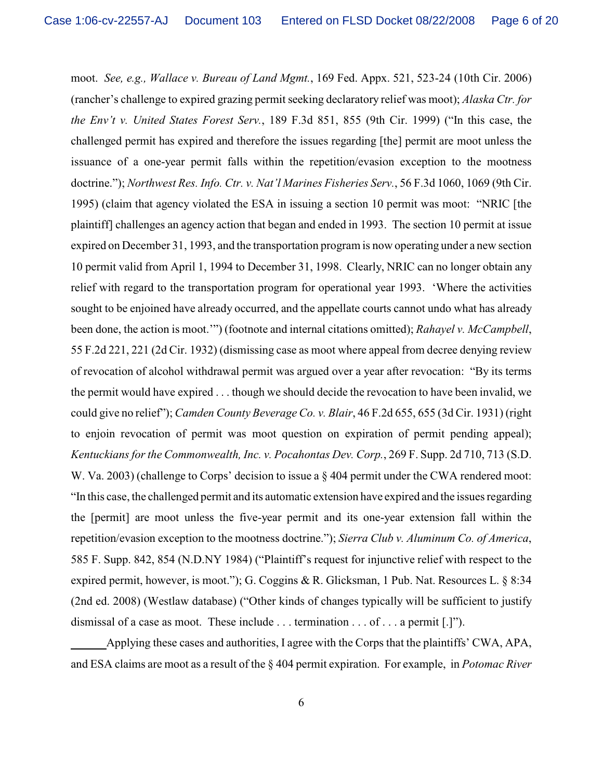moot. *See, e.g., Wallace v. Bureau of Land Mgmt.*, 169 Fed. Appx. 521, 523-24 (10th Cir. 2006) (rancher's challenge to expired grazing permit seeking declaratory relief was moot); *Alaska Ctr. for the Env't v. United States Forest Serv.*, 189 F.3d 851, 855 (9th Cir. 1999) ("In this case, the challenged permit has expired and therefore the issues regarding [the] permit are moot unless the issuance of a one-year permit falls within the repetition/evasion exception to the mootness doctrine."); *Northwest Res. Info. Ctr. v. Nat'l Marines Fisheries Serv.*, 56 F.3d 1060, 1069 (9th Cir. 1995) (claim that agency violated the ESA in issuing a section 10 permit was moot: "NRIC [the plaintiff] challenges an agency action that began and ended in 1993. The section 10 permit at issue expired on December 31, 1993, and the transportation program is now operating under a new section 10 permit valid from April 1, 1994 to December 31, 1998. Clearly, NRIC can no longer obtain any relief with regard to the transportation program for operational year 1993. 'Where the activities sought to be enjoined have already occurred, and the appellate courts cannot undo what has already been done, the action is moot.'") (footnote and internal citations omitted); *Rahayel v. McCampbell*, 55 F.2d 221, 221 (2d Cir. 1932) (dismissing case as moot where appeal from decree denying review of revocation of alcohol withdrawal permit was argued over a year after revocation: "By its terms the permit would have expired . . . though we should decide the revocation to have been invalid, we could give no relief"); *Camden County Beverage Co. v. Blair*, 46 F.2d 655, 655 (3d Cir. 1931) (right to enjoin revocation of permit was moot question on expiration of permit pending appeal); *Kentuckians for the Commonwealth, Inc. v. Pocahontas Dev. Corp.*, 269 F. Supp. 2d 710, 713 (S.D. W. Va. 2003) (challenge to Corps' decision to issue a  $\S$  404 permit under the CWA rendered moot: "In this case, the challenged permit and its automatic extension have expired and the issues regarding the [permit] are moot unless the five-year permit and its one-year extension fall within the repetition/evasion exception to the mootness doctrine."); *Sierra Club v. Aluminum Co. of America*, 585 F. Supp. 842, 854 (N.D.NY 1984) ("Plaintiff's request for injunctive relief with respect to the expired permit, however, is moot."); G. Coggins & R. Glicksman, 1 Pub. Nat. Resources L. § 8:34 (2nd ed. 2008) (Westlaw database) ("Other kinds of changes typically will be sufficient to justify dismissal of a case as moot. These include . . . termination . . . of . . . a permit [.]").

Applying these cases and authorities, I agree with the Corps that the plaintiffs' CWA, APA, and ESA claims are moot as a result of the § 404 permit expiration. For example, in *Potomac River*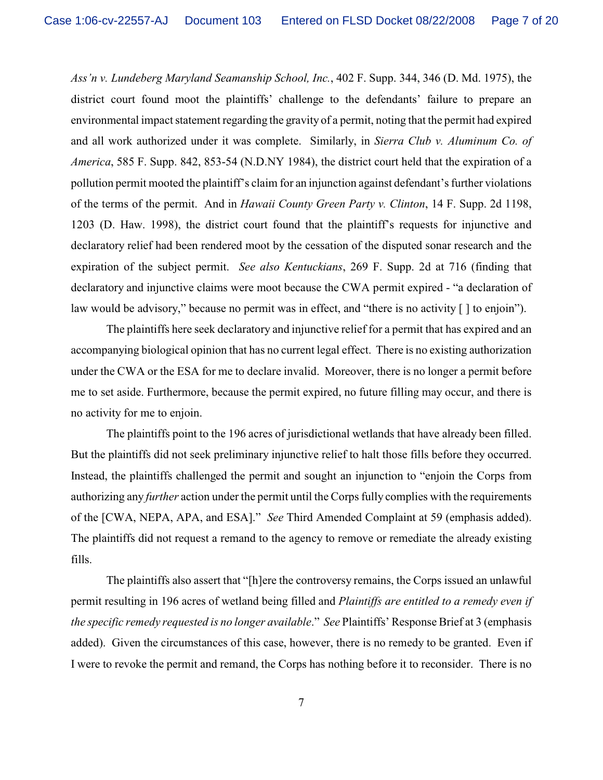*Ass'n v. Lundeberg Maryland Seamanship School, Inc.*, 402 F. Supp. 344, 346 (D. Md. 1975), the district court found moot the plaintiffs' challenge to the defendants' failure to prepare an environmental impact statement regarding the gravity of a permit, noting that the permit had expired and all work authorized under it was complete. Similarly, in *Sierra Club v. Aluminum Co. of America*, 585 F. Supp. 842, 853-54 (N.D.NY 1984), the district court held that the expiration of a pollution permit mooted the plaintiff's claim for an injunction against defendant's further violations of the terms of the permit. And in *Hawaii County Green Party v. Clinton*, 14 F. Supp. 2d 1198, 1203 (D. Haw. 1998), the district court found that the plaintiff's requests for injunctive and declaratory relief had been rendered moot by the cessation of the disputed sonar research and the expiration of the subject permit. *See also Kentuckians*, 269 F. Supp. 2d at 716 (finding that declaratory and injunctive claims were moot because the CWA permit expired - "a declaration of law would be advisory," because no permit was in effect, and "there is no activity [ ] to enjoin").

The plaintiffs here seek declaratory and injunctive relief for a permit that has expired and an accompanying biological opinion that has no current legal effect. There is no existing authorization under the CWA or the ESA for me to declare invalid. Moreover, there is no longer a permit before me to set aside. Furthermore, because the permit expired, no future filling may occur, and there is no activity for me to enjoin.

The plaintiffs point to the 196 acres of jurisdictional wetlands that have already been filled. But the plaintiffs did not seek preliminary injunctive relief to halt those fills before they occurred. Instead, the plaintiffs challenged the permit and sought an injunction to "enjoin the Corps from authorizing any *further* action under the permit until the Corps fully complies with the requirements of the [CWA, NEPA, APA, and ESA]." *See* Third Amended Complaint at 59 (emphasis added). The plaintiffs did not request a remand to the agency to remove or remediate the already existing fills.

The plaintiffs also assert that "[h]ere the controversy remains, the Corps issued an unlawful permit resulting in 196 acres of wetland being filled and *Plaintiffs are entitled to a remedy even if the specific remedy requested is no longer available*." *See* Plaintiffs' Response Brief at 3 (emphasis added). Given the circumstances of this case, however, there is no remedy to be granted. Even if I were to revoke the permit and remand, the Corps has nothing before it to reconsider. There is no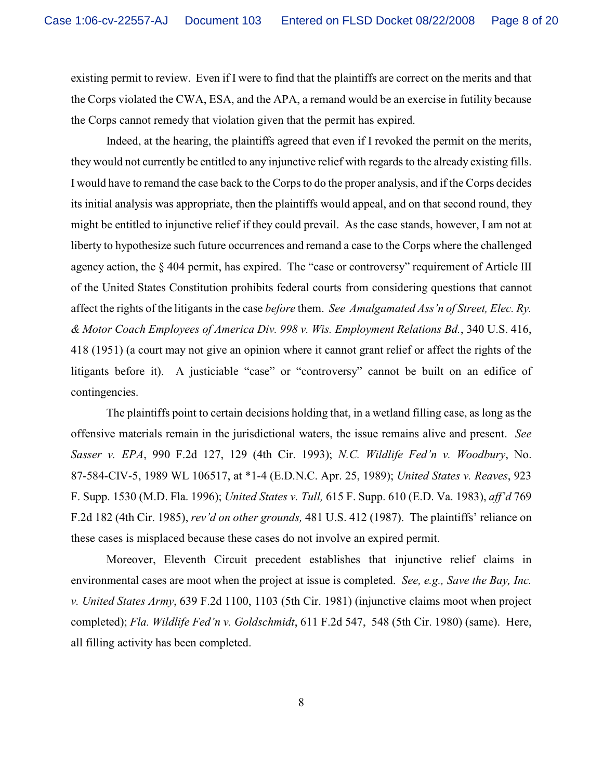existing permit to review. Even if I were to find that the plaintiffs are correct on the merits and that the Corps violated the CWA, ESA, and the APA, a remand would be an exercise in futility because the Corps cannot remedy that violation given that the permit has expired.

Indeed, at the hearing, the plaintiffs agreed that even if I revoked the permit on the merits, they would not currently be entitled to any injunctive relief with regards to the already existing fills. I would have to remand the case back to the Corps to do the proper analysis, and if the Corps decides its initial analysis was appropriate, then the plaintiffs would appeal, and on that second round, they might be entitled to injunctive relief if they could prevail. As the case stands, however, I am not at liberty to hypothesize such future occurrences and remand a case to the Corps where the challenged agency action, the § 404 permit, has expired. The "case or controversy" requirement of Article III of the United States Constitution prohibits federal courts from considering questions that cannot affect the rights of the litigants in the case *before* them. *See Amalgamated Ass'n of Street, Elec. Ry. & Motor Coach Employees of America Div. 998 v. Wis. Employment Relations Bd.*, 340 U.S. 416, 418 (1951) (a court may not give an opinion where it cannot grant relief or affect the rights of the litigants before it). A justiciable "case" or "controversy" cannot be built on an edifice of contingencies.

The plaintiffs point to certain decisions holding that, in a wetland filling case, as long as the offensive materials remain in the jurisdictional waters, the issue remains alive and present. *See Sasser v. EPA*, 990 F.2d 127, 129 (4th Cir. 1993); *N.C. Wildlife Fed'n v. Woodbury*, No. 87-584-CIV-5, 1989 WL 106517, at \*1-4 (E.D.N.C. Apr. 25, 1989); *United States v. Reaves*, 923 F. Supp. 1530 (M.D. Fla. 1996); *United States v. Tull,* 615 F. Supp. 610 (E.D. Va. 1983), *aff'd* 769 F.2d 182 (4th Cir. 1985), *rev'd on other grounds,* 481 U.S. 412 (1987). The plaintiffs' reliance on these cases is misplaced because these cases do not involve an expired permit.

Moreover, Eleventh Circuit precedent establishes that injunctive relief claims in environmental cases are moot when the project at issue is completed. *See, e.g., Save the Bay, Inc. v. United States Army*, 639 F.2d 1100, 1103 (5th Cir. 1981) (injunctive claims moot when project completed); *Fla. Wildlife Fed'n v. Goldschmidt*, 611 F.2d 547, 548 (5th Cir. 1980) (same). Here, all filling activity has been completed.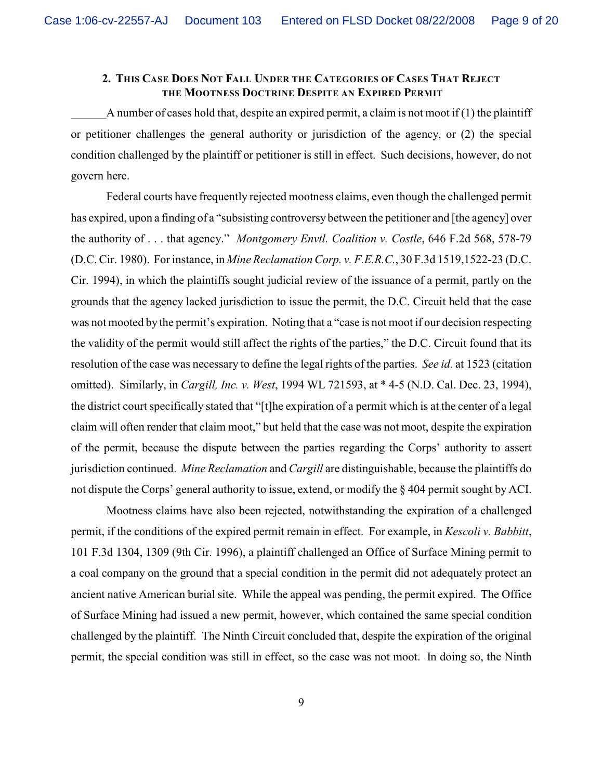# **2. THIS CASE DOES NOT FALL UNDER THE CATEGORIES OF CASES THAT REJECT THE MOOTNESS DOCTRINE DESPITE AN EXPIRED PERMIT**

A number of cases hold that, despite an expired permit, a claim is not moot if  $(1)$  the plaintiff or petitioner challenges the general authority or jurisdiction of the agency, or (2) the special condition challenged by the plaintiff or petitioner is still in effect. Such decisions, however, do not govern here.

Federal courts have frequently rejected mootness claims, even though the challenged permit has expired, upon a finding of a "subsisting controversy between the petitioner and [the agency] over the authority of . . . that agency." *Montgomery Envtl. Coalition v. Costle*, 646 F.2d 568, 578-79 (D.C. Cir. 1980). For instance, in *Mine ReclamationCorp. v. F.E.R.C.*, 30 F.3d 1519,1522-23 (D.C. Cir. 1994), in which the plaintiffs sought judicial review of the issuance of a permit, partly on the grounds that the agency lacked jurisdiction to issue the permit, the D.C. Circuit held that the case was not mooted by the permit's expiration. Noting that a "case is not moot if our decision respecting the validity of the permit would still affect the rights of the parties," the D.C. Circuit found that its resolution of the case was necessary to define the legal rights of the parties. *See id.* at 1523 (citation omitted). Similarly, in *Cargill, Inc. v. West*, 1994 WL 721593, at \* 4-5 (N.D. Cal. Dec. 23, 1994), the district court specifically stated that "[t]he expiration of a permit which is at the center of a legal claim will often render that claim moot," but held that the case was not moot, despite the expiration of the permit, because the dispute between the parties regarding the Corps' authority to assert jurisdiction continued. *Mine Reclamation* and *Cargill* are distinguishable, because the plaintiffs do not dispute the Corps' general authority to issue, extend, or modify the § 404 permit sought by ACI.

Mootness claims have also been rejected, notwithstanding the expiration of a challenged permit, if the conditions of the expired permit remain in effect. For example, in *Kescoli v. Babbitt*, 101 F.3d 1304, 1309 (9th Cir. 1996), a plaintiff challenged an Office of Surface Mining permit to a coal company on the ground that a special condition in the permit did not adequately protect an ancient native American burial site. While the appeal was pending, the permit expired. The Office of Surface Mining had issued a new permit, however, which contained the same special condition challenged by the plaintiff. The Ninth Circuit concluded that, despite the expiration of the original permit, the special condition was still in effect, so the case was not moot. In doing so, the Ninth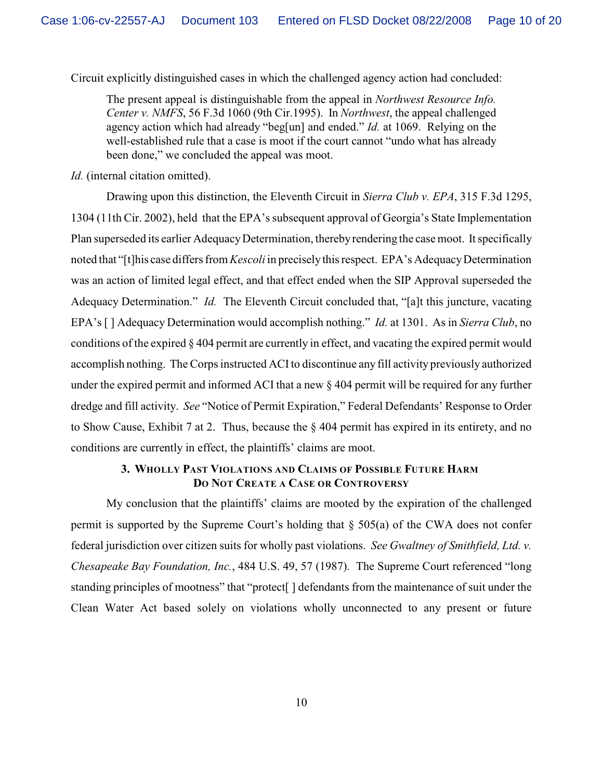Circuit explicitly distinguished cases in which the challenged agency action had concluded:

The present appeal is distinguishable from the appeal in *Northwest Resource Info. Center v. NMFS*, 56 F.3d 1060 (9th Cir.1995). In *Northwest*, the appeal challenged agency action which had already "beg[un] and ended." *Id.* at 1069. Relying on the well-established rule that a case is moot if the court cannot "undo what has already been done," we concluded the appeal was moot.

*Id.* (internal citation omitted).

Drawing upon this distinction, the Eleventh Circuit in *Sierra Club v. EPA*, 315 F.3d 1295, 1304 (11th Cir. 2002), held that the EPA's subsequent approval of Georgia's State Implementation Plan superseded its earlier Adequacy Determination, thereby rendering the case moot. It specifically noted that "[t]his case differs from *Kescoli* in precisely this respect. EPA's Adequacy Determination was an action of limited legal effect, and that effect ended when the SIP Approval superseded the Adequacy Determination." *Id.* The Eleventh Circuit concluded that, "[a]t this juncture, vacating EPA's [ ] Adequacy Determination would accomplish nothing." *Id.* at 1301. As in *Sierra Club*, no conditions of the expired § 404 permit are currently in effect, and vacating the expired permit would accomplish nothing. The Corps instructed ACI to discontinue any fill activity previously authorized under the expired permit and informed ACI that a new § 404 permit will be required for any further dredge and fill activity. *See* "Notice of Permit Expiration," Federal Defendants' Response to Order to Show Cause, Exhibit 7 at 2. Thus, because the § 404 permit has expired in its entirety, and no conditions are currently in effect, the plaintiffs' claims are moot.

## **3. WHOLLY PAST VIOLATIONS AND CLAIMS OF POSSIBLE FUTURE HARM DO NOT CREATE A CASE OR CONTROVERSY**

My conclusion that the plaintiffs' claims are mooted by the expiration of the challenged permit is supported by the Supreme Court's holding that § 505(a) of the CWA does not confer federal jurisdiction over citizen suits for wholly past violations. *See Gwaltney of Smithfield, Ltd. v. Chesapeake Bay Foundation, Inc.*, 484 U.S. 49, 57 (1987). The Supreme Court referenced "long standing principles of mootness" that "protect[ ] defendants from the maintenance of suit under the Clean Water Act based solely on violations wholly unconnected to any present or future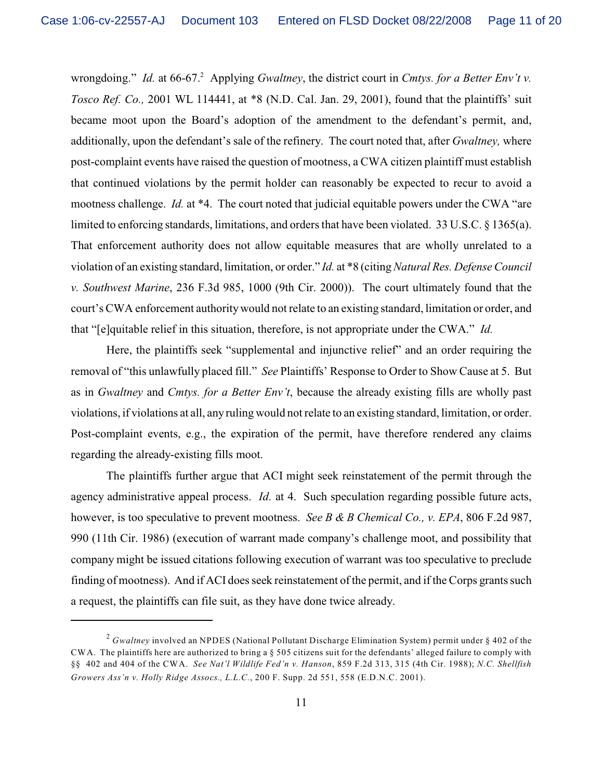wrongdoing." *Id.* at 66-67.<sup>2</sup> Applying *Gwaltney*, the district court in *Cmtys. for a Better Env't v. Tosco Ref. Co.,* 2001 WL 114441, at \*8 (N.D. Cal. Jan. 29, 2001), found that the plaintiffs' suit became moot upon the Board's adoption of the amendment to the defendant's permit, and, additionally, upon the defendant's sale of the refinery. The court noted that, after *Gwaltney,* where post-complaint events have raised the question of mootness, a CWA citizen plaintiff must establish that continued violations by the permit holder can reasonably be expected to recur to avoid a mootness challenge. *Id.* at \*4. The court noted that judicial equitable powers under the CWA "are limited to enforcing standards, limitations, and orders that have been violated. 33 U.S.C. § 1365(a). That enforcement authority does not allow equitable measures that are wholly unrelated to a violation of an existing standard, limitation, or order." *Id.* at \*8 (citing *Natural Res. Defense Council v. Southwest Marine*, 236 F.3d 985, 1000 (9th Cir. 2000)). The court ultimately found that the court's CWA enforcement authoritywould not relate to an existing standard, limitation or order, and that "[e]quitable relief in this situation, therefore, is not appropriate under the CWA." *Id.*

Here, the plaintiffs seek "supplemental and injunctive relief" and an order requiring the removal of "this unlawfully placed fill." *See* Plaintiffs' Response to Order to Show Cause at 5. But as in *Gwaltney* and *Cmtys. for a Better Env't*, because the already existing fills are wholly past violations, if violations at all, any ruling would not relate to an existing standard, limitation, or order. Post-complaint events, e.g., the expiration of the permit, have therefore rendered any claims regarding the already-existing fills moot.

The plaintiffs further argue that ACI might seek reinstatement of the permit through the agency administrative appeal process. *Id.* at 4. Such speculation regarding possible future acts, however, is too speculative to prevent mootness. *See B & B Chemical Co., v. EPA*, 806 F.2d 987, 990 (11th Cir. 1986) (execution of warrant made company's challenge moot, and possibility that company might be issued citations following execution of warrant was too speculative to preclude finding of mootness). And if ACI does seek reinstatement of the permit, and if the Corps grants such a request, the plaintiffs can file suit, as they have done twice already.

<sup>&</sup>lt;sup>2</sup> Gwaltney involved an NPDES (National Pollutant Discharge Elimination System) permit under § 402 of the CWA. The plaintiffs here are authorized to bring a § 505 citizens suit for the defendants' alleged failure to comply with §§ 402 and 404 of the CWA. *See Nat'l Wildlife Fed'n v. Hanson*, 859 F.2d 313, 315 (4th Cir. 1988); *N.C. Shellfish Growers Ass'n v. Holly Ridge Assocs., L.L.C.*, 200 F. Supp. 2d 551, 558 (E.D.N.C. 2001).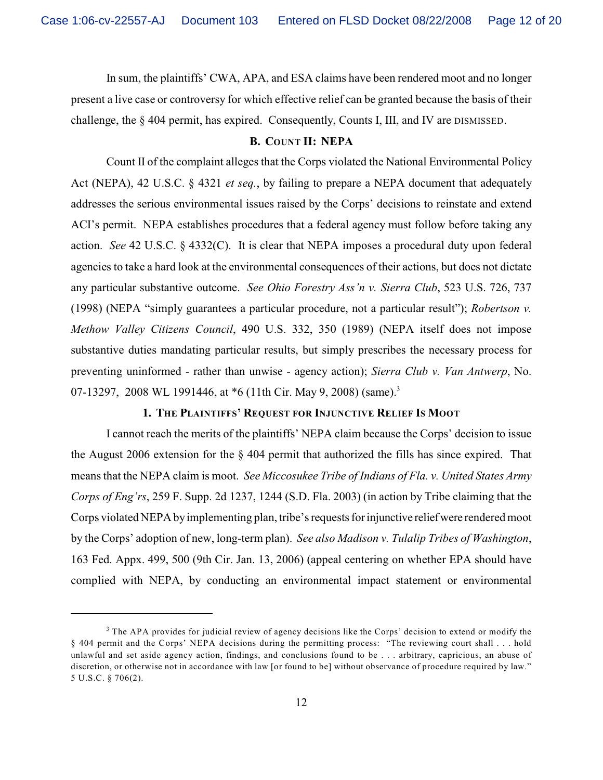In sum, the plaintiffs' CWA, APA, and ESA claims have been rendered moot and no longer present a live case or controversy for which effective relief can be granted because the basis of their challenge, the § 404 permit, has expired. Consequently, Counts I, III, and IV are DISMISSED.

### **B. COUNT II: NEPA**

Count II of the complaint alleges that the Corps violated the National Environmental Policy Act (NEPA), 42 U.S.C. § 4321 *et seq.*, by failing to prepare a NEPA document that adequately addresses the serious environmental issues raised by the Corps' decisions to reinstate and extend ACI's permit. NEPA establishes procedures that a federal agency must follow before taking any action. *See* 42 U.S.C. § 4332(C). It is clear that NEPA imposes a procedural duty upon federal agencies to take a hard look at the environmental consequences of their actions, but does not dictate any particular substantive outcome. *See Ohio Forestry Ass'n v. Sierra Club*, 523 U.S. 726, 737 (1998) (NEPA "simply guarantees a particular procedure, not a particular result"); *Robertson v. Methow Valley Citizens Council*, 490 U.S. 332, 350 (1989) (NEPA itself does not impose substantive duties mandating particular results, but simply prescribes the necessary process for preventing uninformed - rather than unwise - agency action); *Sierra Club v. Van Antwerp*, No. 07-13297, 2008 WL 1991446, at \*6 (11th Cir. May 9, 2008) (same).<sup>3</sup>

# **1. THE PLAINTIFFS' REQUEST FOR INJUNCTIVE RELIEF IS MOOT**

I cannot reach the merits of the plaintiffs' NEPA claim because the Corps' decision to issue the August 2006 extension for the § 404 permit that authorized the fills has since expired. That means that the NEPA claim is moot. *See Miccosukee Tribe of Indians of Fla. v. United States Army Corps of Eng'rs*, 259 F. Supp. 2d 1237, 1244 (S.D. Fla. 2003) (in action by Tribe claiming that the Corps violated NEPA by implementing plan, tribe's requests for injunctive relief were rendered moot by the Corps' adoption of new, long-term plan). *See also Madison v. Tulalip Tribes of Washington*, 163 Fed. Appx. 499, 500 (9th Cir. Jan. 13, 2006) (appeal centering on whether EPA should have complied with NEPA, by conducting an environmental impact statement or environmental

 $3$  The APA provides for judicial review of agency decisions like the Corps' decision to extend or modify the § 404 permit and the Corps' NEPA decisions during the permitting process: "The reviewing court shall . . . hold unlawful and set aside agency action, findings, and conclusions found to be . . . arbitrary, capricious, an abuse of discretion, or otherwise not in accordance with law [or found to be] without observance of procedure required by law." 5 U.S.C. § 706(2).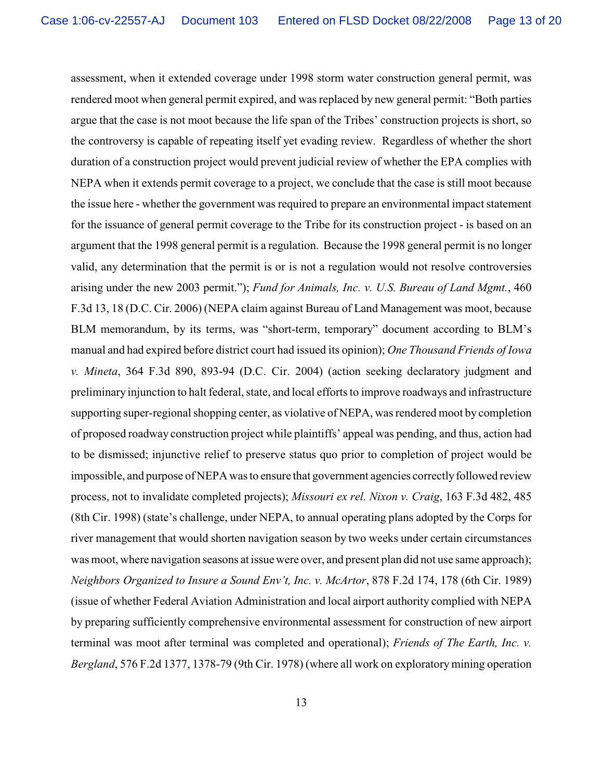assessment, when it extended coverage under 1998 storm water construction general permit, was rendered moot when general permit expired, and was replaced by new general permit: "Both parties argue that the case is not moot because the life span of the Tribes' construction projects is short, so the controversy is capable of repeating itself yet evading review. Regardless of whether the short duration of a construction project would prevent judicial review of whether the EPA complies with NEPA when it extends permit coverage to a project, we conclude that the case is still moot because the issue here - whether the government was required to prepare an environmental impact statement for the issuance of general permit coverage to the Tribe for its construction project - is based on an argument that the 1998 general permit is a regulation. Because the 1998 general permit is no longer valid, any determination that the permit is or is not a regulation would not resolve controversies arising under the new 2003 permit."); *Fund for Animals, Inc. v. U.S. Bureau of Land Mgmt.*, 460 F.3d 13, 18 (D.C. Cir. 2006) (NEPA claim against Bureau of Land Management was moot, because BLM memorandum, by its terms, was "short-term, temporary" document according to BLM's manual and had expired before district court had issued its opinion); *One Thousand Friends of Iowa v. Mineta*, 364 F.3d 890, 893-94 (D.C. Cir. 2004) (action seeking declaratory judgment and preliminary injunction to halt federal, state, and local efforts to improve roadways and infrastructure supporting super-regional shopping center, as violative of NEPA, was rendered moot by completion of proposed roadway construction project while plaintiffs' appeal was pending, and thus, action had to be dismissed; injunctive relief to preserve status quo prior to completion of project would be impossible, and purpose of NEPA was to ensure that government agencies correctlyfollowed review process, not to invalidate completed projects); *Missouri ex rel. Nixon v. Craig*, 163 F.3d 482, 485 (8th Cir. 1998) (state's challenge, under NEPA, to annual operating plans adopted by the Corps for river management that would shorten navigation season by two weeks under certain circumstances was moot, where navigation seasons at issue were over, and present plan did not use same approach); *Neighbors Organized to Insure a Sound Env't, Inc. v. McArtor*, 878 F.2d 174, 178 (6th Cir. 1989) (issue of whether Federal Aviation Administration and local airport authority complied with NEPA by preparing sufficiently comprehensive environmental assessment for construction of new airport terminal was moot after terminal was completed and operational); *Friends of The Earth, Inc. v. Bergland*, 576 F.2d 1377, 1378-79 (9th Cir. 1978) (where all work on exploratory mining operation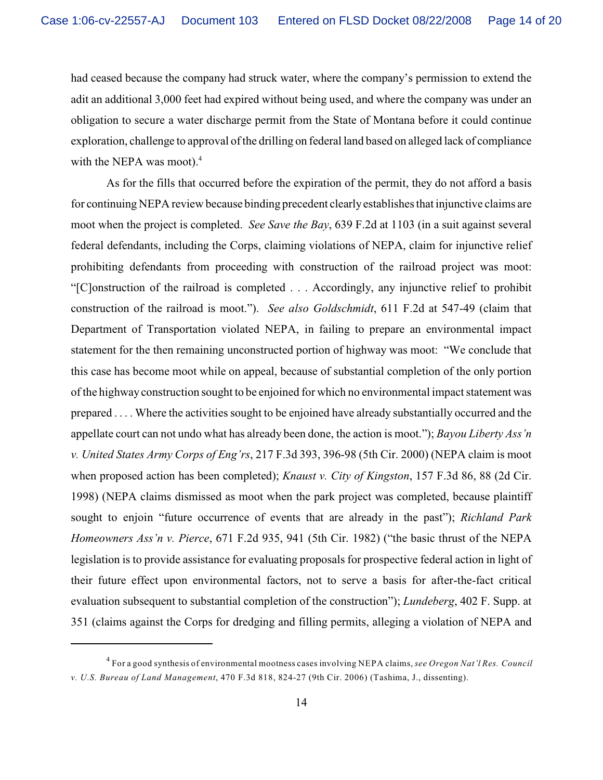had ceased because the company had struck water, where the company's permission to extend the adit an additional 3,000 feet had expired without being used, and where the company was under an obligation to secure a water discharge permit from the State of Montana before it could continue exploration, challenge to approval of the drilling on federal land based on alleged lack of compliance with the NEPA was moot).<sup>4</sup>

As for the fills that occurred before the expiration of the permit, they do not afford a basis for continuing NEPA review because binding precedent clearlyestablishes that injunctive claims are moot when the project is completed. *See Save the Bay*, 639 F.2d at 1103 (in a suit against several federal defendants, including the Corps, claiming violations of NEPA, claim for injunctive relief prohibiting defendants from proceeding with construction of the railroad project was moot: "[C]onstruction of the railroad is completed . . . Accordingly, any injunctive relief to prohibit construction of the railroad is moot."). *See also Goldschmidt*, 611 F.2d at 547-49 (claim that Department of Transportation violated NEPA, in failing to prepare an environmental impact statement for the then remaining unconstructed portion of highway was moot: "We conclude that this case has become moot while on appeal, because of substantial completion of the only portion of the highway construction sought to be enjoined for which no environmental impact statement was prepared . . . . Where the activities sought to be enjoined have already substantially occurred and the appellate court can not undo what has already been done, the action is moot."); *Bayou Liberty Ass'n v. United States Army Corps of Eng'rs*, 217 F.3d 393, 396-98 (5th Cir. 2000) (NEPA claim is moot when proposed action has been completed); *Knaust v. City of Kingston*, 157 F.3d 86, 88 (2d Cir. 1998) (NEPA claims dismissed as moot when the park project was completed, because plaintiff sought to enjoin "future occurrence of events that are already in the past"); *Richland Park Homeowners Ass'n v. Pierce*, 671 F.2d 935, 941 (5th Cir. 1982) ("the basic thrust of the NEPA legislation is to provide assistance for evaluating proposals for prospective federal action in light of their future effect upon environmental factors, not to serve a basis for after-the-fact critical evaluation subsequent to substantial completion of the construction"); *Lundeberg*, 402 F. Supp. at 351 (claims against the Corps for dredging and filling permits, alleging a violation of NEPA and

For a good synthesis of environmental mootness cases involving NEPA claims, *see Oregon Nat'l Res. Council* <sup>4</sup> *v. U.S. Bureau of Land Management*, 470 F.3d 818, 824-27 (9th Cir. 2006) (Tashima, J., dissenting).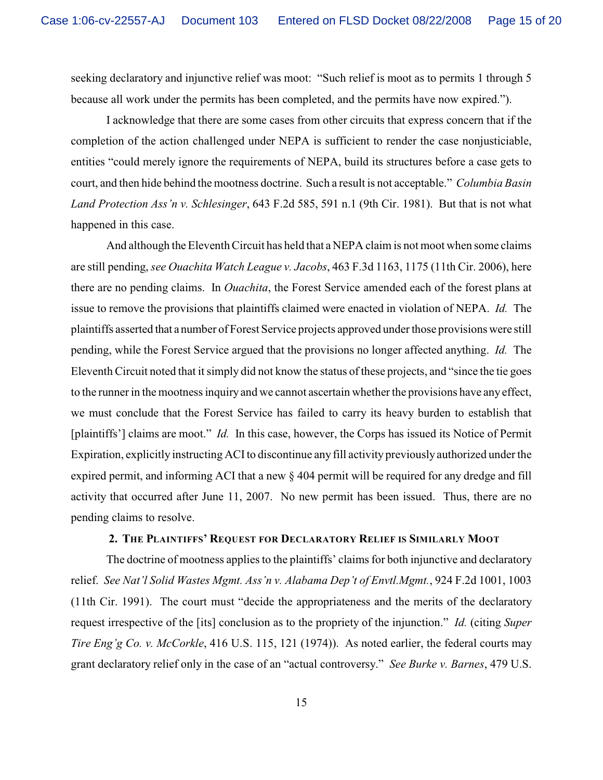seeking declaratory and injunctive relief was moot: "Such relief is moot as to permits 1 through 5 because all work under the permits has been completed, and the permits have now expired.").

I acknowledge that there are some cases from other circuits that express concern that if the completion of the action challenged under NEPA is sufficient to render the case nonjusticiable, entities "could merely ignore the requirements of NEPA, build its structures before a case gets to court, and then hide behind the mootness doctrine. Such a result is not acceptable." *Columbia Basin Land Protection Ass'n v. Schlesinger*, 643 F.2d 585, 591 n.1 (9th Cir. 1981). But that is not what happened in this case.

And although the Eleventh Circuit has held that a NEPA claim is not moot when some claims are still pending, *see Ouachita Watch League v. Jacobs*, 463 F.3d 1163, 1175 (11th Cir. 2006), here there are no pending claims. In *Ouachita*, the Forest Service amended each of the forest plans at issue to remove the provisions that plaintiffs claimed were enacted in violation of NEPA. *Id.* The plaintiffs asserted that a number of Forest Service projects approved under those provisions were still pending, while the Forest Service argued that the provisions no longer affected anything. *Id.* The Eleventh Circuit noted that it simply did not know the status of these projects, and "since the tie goes to the runner in the mootness inquiry and we cannot ascertain whether the provisions have any effect, we must conclude that the Forest Service has failed to carry its heavy burden to establish that [plaintiffs'] claims are moot." *Id.* In this case, however, the Corps has issued its Notice of Permit Expiration, explicitly instructing ACI to discontinue any fill activity previously authorized under the expired permit, and informing ACI that a new § 404 permit will be required for any dredge and fill activity that occurred after June 11, 2007. No new permit has been issued. Thus, there are no pending claims to resolve.

### **2. THE PLAINTIFFS' REQUEST FOR DECLARATORY RELIEF IS SIMILARLY MOOT**

The doctrine of mootness applies to the plaintiffs' claims for both injunctive and declaratory relief. *See Nat'l Solid Wastes Mgmt. Ass'n v. Alabama Dep't of Envtl.Mgmt.*, 924 F.2d 1001, 1003 (11th Cir. 1991). The court must "decide the appropriateness and the merits of the declaratory request irrespective of the [its] conclusion as to the propriety of the injunction." *Id.* (citing *Super Tire Eng'g Co. v. McCorkle*, 416 U.S. 115, 121 (1974)). As noted earlier, the federal courts may grant declaratory relief only in the case of an "actual controversy." *See Burke v. Barnes*, 479 U.S.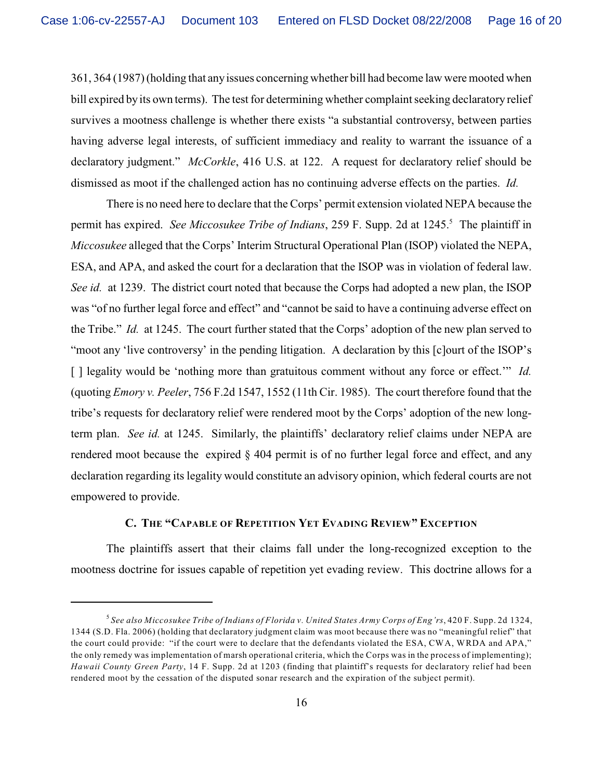361, 364 (1987) (holding that anyissues concerning whether bill had become law were mooted when bill expired by its own terms). The test for determining whether complaint seeking declaratory relief survives a mootness challenge is whether there exists "a substantial controversy, between parties having adverse legal interests, of sufficient immediacy and reality to warrant the issuance of a declaratory judgment." *McCorkle*, 416 U.S. at 122. A request for declaratory relief should be dismissed as moot if the challenged action has no continuing adverse effects on the parties. *Id.*

There is no need here to declare that the Corps' permit extension violated NEPA because the permit has expired. See Miccosukee Tribe of Indians, 259 F. Supp. 2d at 1245.<sup>5</sup> The plaintiff in *Miccosukee* alleged that the Corps' Interim Structural Operational Plan (ISOP) violated the NEPA, ESA, and APA, and asked the court for a declaration that the ISOP was in violation of federal law. *See id.* at 1239. The district court noted that because the Corps had adopted a new plan, the ISOP was "of no further legal force and effect" and "cannot be said to have a continuing adverse effect on the Tribe." *Id.* at 1245. The court further stated that the Corps' adoption of the new plan served to "moot any 'live controversy' in the pending litigation. A declaration by this [c]ourt of the ISOP's [ ] legality would be 'nothing more than gratuitous comment without any force or effect.'" *Id.* (quoting *Emory v. Peeler*, 756 F.2d 1547, 1552 (11th Cir. 1985). The court therefore found that the tribe's requests for declaratory relief were rendered moot by the Corps' adoption of the new longterm plan. *See id.* at 1245. Similarly, the plaintiffs' declaratory relief claims under NEPA are rendered moot because the expired § 404 permit is of no further legal force and effect, and any declaration regarding its legality would constitute an advisory opinion, which federal courts are not empowered to provide.

#### **C. THE "CAPABLE OF REPETITION YET EVADING REVIEW" EXCEPTION**

The plaintiffs assert that their claims fall under the long-recognized exception to the mootness doctrine for issues capable of repetition yet evading review. This doctrine allows for a

*See also Miccosukee Tribe of Indians of Florida v. United States Army Corps of Eng'rs*, 420 F. Supp. 2d 1324, <sup>5</sup> 1344 (S.D. Fla. 2006) (holding that declaratory judgment claim was moot because there was no "meaningful relief" that the court could provide: "if the court were to declare that the defendants violated the ESA, CWA, WRDA and APA," the only remedy was implementation of marsh operational criteria, which the Corps was in the process of implementing); *Hawaii County Green Party*, 14 F. Supp. 2d at 1203 (finding that plaintiff's requests for declaratory relief had been rendered moot by the cessation of the disputed sonar research and the expiration of the subject permit).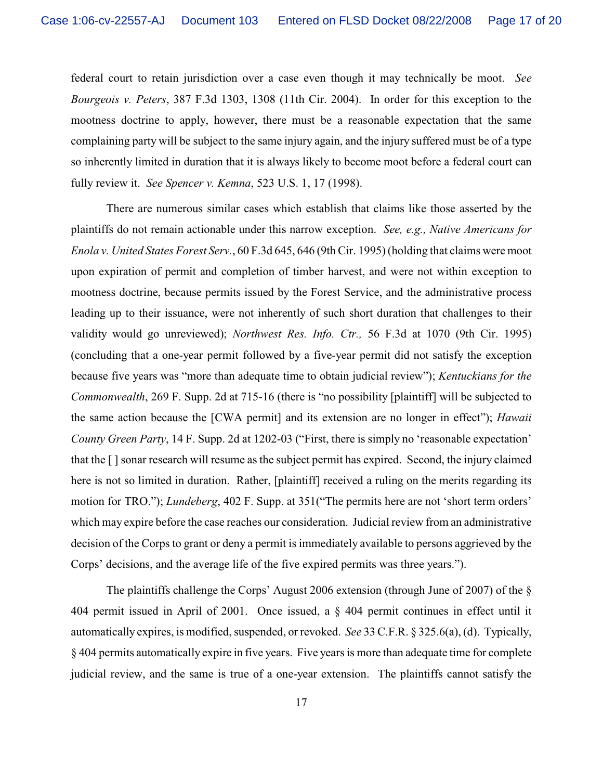federal court to retain jurisdiction over a case even though it may technically be moot. *See Bourgeois v. Peters*, 387 F.3d 1303, 1308 (11th Cir. 2004). In order for this exception to the mootness doctrine to apply, however, there must be a reasonable expectation that the same complaining party will be subject to the same injury again, and the injury suffered must be of a type so inherently limited in duration that it is always likely to become moot before a federal court can fully review it. *See Spencer v. Kemna*, 523 U.S. 1, 17 (1998).

There are numerous similar cases which establish that claims like those asserted by the plaintiffs do not remain actionable under this narrow exception. *See, e.g., Native Americans for Enola v. United States Forest Serv.*, 60 F.3d 645, 646 (9th Cir. 1995) (holding that claims were moot upon expiration of permit and completion of timber harvest, and were not within exception to mootness doctrine, because permits issued by the Forest Service, and the administrative process leading up to their issuance, were not inherently of such short duration that challenges to their validity would go unreviewed); *Northwest Res. Info. Ctr.,* 56 F.3d at 1070 (9th Cir. 1995) (concluding that a one-year permit followed by a five-year permit did not satisfy the exception because five years was "more than adequate time to obtain judicial review"); *Kentuckians for the Commonwealth*, 269 F. Supp. 2d at 715-16 (there is "no possibility [plaintiff] will be subjected to the same action because the [CWA permit] and its extension are no longer in effect"); *Hawaii County Green Party*, 14 F. Supp. 2d at 1202-03 ("First, there is simply no 'reasonable expectation' that the [ ] sonar research will resume as the subject permit has expired. Second, the injury claimed here is not so limited in duration. Rather, [plaintiff] received a ruling on the merits regarding its motion for TRO."); *Lundeberg*, 402 F. Supp. at 351("The permits here are not 'short term orders' which may expire before the case reaches our consideration. Judicial review from an administrative decision of the Corps to grant or deny a permit is immediately available to persons aggrieved by the Corps' decisions, and the average life of the five expired permits was three years.").

The plaintiffs challenge the Corps' August 2006 extension (through June of 2007) of the § 404 permit issued in April of 2001. Once issued, a § 404 permit continues in effect until it automatically expires, is modified, suspended, or revoked. *See* 33 C.F.R. § 325.6(a), (d). Typically, § 404 permits automatically expire in five years.Five years is more than adequate time for complete judicial review, and the same is true of a one-year extension. The plaintiffs cannot satisfy the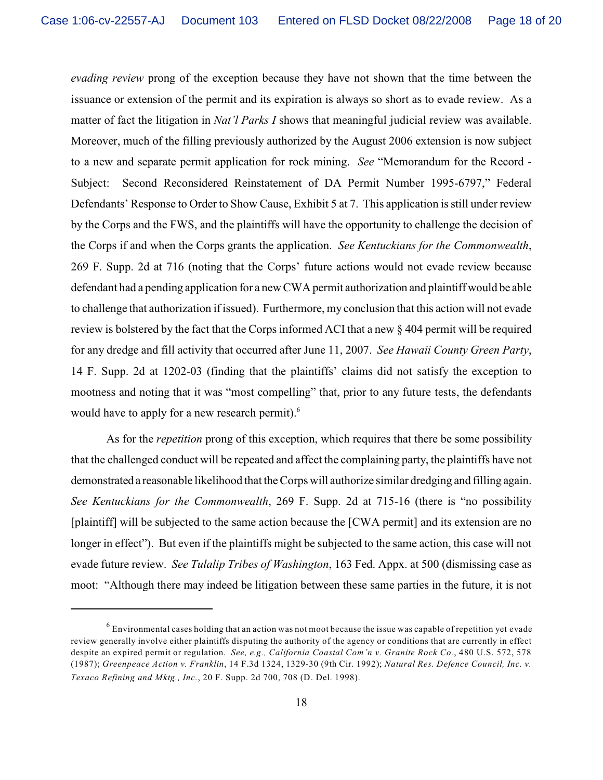*evading review* prong of the exception because they have not shown that the time between the issuance or extension of the permit and its expiration is always so short as to evade review. As a matter of fact the litigation in *Nat'l Parks I* shows that meaningful judicial review was available. Moreover, much of the filling previously authorized by the August 2006 extension is now subject to a new and separate permit application for rock mining. *See* "Memorandum for the Record - Subject: Second Reconsidered Reinstatement of DA Permit Number 1995-6797," Federal Defendants' Response to Order to Show Cause, Exhibit 5 at 7. This application is still under review by the Corps and the FWS, and the plaintiffs will have the opportunity to challenge the decision of the Corps if and when the Corps grants the application. *See Kentuckians for the Commonwealth*, 269 F. Supp. 2d at 716 (noting that the Corps' future actions would not evade review because defendant had a pending application for a new CWA permit authorization and plaintiff would be able to challenge that authorization if issued). Furthermore, my conclusion that this action will not evade review is bolstered by the fact that the Corps informed ACI that a new § 404 permit will be required for any dredge and fill activity that occurred after June 11, 2007. *See Hawaii County Green Party*, 14 F. Supp. 2d at 1202-03 (finding that the plaintiffs' claims did not satisfy the exception to mootness and noting that it was "most compelling" that, prior to any future tests, the defendants would have to apply for a new research permit).<sup>6</sup>

As for the *repetition* prong of this exception, which requires that there be some possibility that the challenged conduct will be repeated and affect the complaining party, the plaintiffs have not demonstrated a reasonable likelihood that the Corps will authorize similar dredging and filling again. *See Kentuckians for the Commonwealth*, 269 F. Supp. 2d at 715-16 (there is "no possibility [plaintiff] will be subjected to the same action because the [CWA permit] and its extension are no longer in effect"). But even if the plaintiffs might be subjected to the same action, this case will not evade future review. *See Tulalip Tribes of Washington*, 163 Fed. Appx. at 500 (dismissing case as moot: "Although there may indeed be litigation between these same parties in the future, it is not

 $6$  Environmental cases holding that an action was not moot because the issue was capable of repetition yet evade review generally involve either plaintiffs disputing the authority of the agency or conditions that are currently in effect despite an expired permit or regulation. *See, e.g., California Coastal Com'n v. Granite Rock Co.*, 480 U.S. 572, 578 (1987); *Greenpeace Action v. Franklin*, 14 F.3d 1324, 1329-30 (9th Cir. 1992); *Natural Res. Defence Council, Inc. v. Texaco Refining and Mktg., Inc.*, 20 F. Supp. 2d 700, 708 (D. Del. 1998).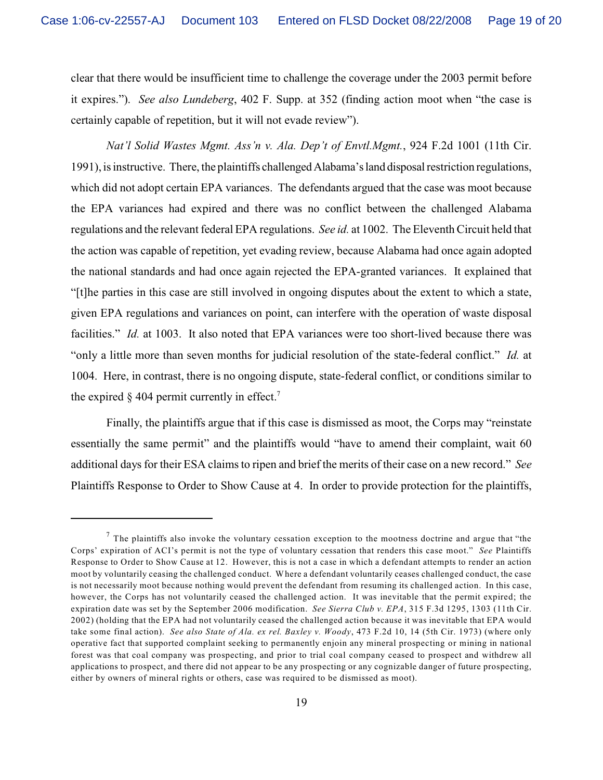clear that there would be insufficient time to challenge the coverage under the 2003 permit before it expires."). *See also Lundeberg*, 402 F. Supp. at 352 (finding action moot when "the case is certainly capable of repetition, but it will not evade review").

*Nat'l Solid Wastes Mgmt. Ass'n v. Ala. Dep't of Envtl.Mgmt.*, 924 F.2d 1001 (11th Cir. 1991), is instructive. There, the plaintiffs challenged Alabama's land disposal restriction regulations, which did not adopt certain EPA variances. The defendants argued that the case was moot because the EPA variances had expired and there was no conflict between the challenged Alabama regulations and the relevant federal EPA regulations. *See id.* at 1002. The Eleventh Circuit held that the action was capable of repetition, yet evading review, because Alabama had once again adopted the national standards and had once again rejected the EPA-granted variances. It explained that "[t]he parties in this case are still involved in ongoing disputes about the extent to which a state, given EPA regulations and variances on point, can interfere with the operation of waste disposal facilities." *Id.* at 1003. It also noted that EPA variances were too short-lived because there was "only a little more than seven months for judicial resolution of the state-federal conflict." *Id.* at 1004. Here, in contrast, there is no ongoing dispute, state-federal conflict, or conditions similar to the expired  $\S$  404 permit currently in effect.<sup>7</sup>

Finally, the plaintiffs argue that if this case is dismissed as moot, the Corps may "reinstate essentially the same permit" and the plaintiffs would "have to amend their complaint, wait 60 additional days for their ESA claims to ripen and brief the merits of their case on a new record." *See* Plaintiffs Response to Order to Show Cause at 4. In order to provide protection for the plaintiffs,

 $<sup>7</sup>$  The plaintiffs also invoke the voluntary cessation exception to the mootness doctrine and argue that "the</sup> Corps' expiration of ACI's permit is not the type of voluntary cessation that renders this case moot." *See* Plaintiffs Response to Order to Show Cause at 12. However, this is not a case in which a defendant attempts to render an action moot by voluntarily ceasing the challenged conduct. Where a defendant voluntarily ceases challenged conduct, the case is not necessarily moot because nothing would prevent the defendant from resuming its challenged action. In this case, however, the Corps has not voluntarily ceased the challenged action. It was inevitable that the permit expired; the expiration date was set by the September 2006 modification. *See Sierra Club v. EPA*, 315 F.3d 1295, 1303 (11th Cir. 2002) (holding that the EPA had not voluntarily ceased the challenged action because it was inevitable that EPA would take some final action). *See also State of Ala. ex rel. Baxley v. Woody*, 473 F.2d 10, 14 (5th Cir. 1973) (where only operative fact that supported complaint seeking to permanently enjoin any mineral prospecting or mining in national forest was that coal company was prospecting, and prior to trial coal company ceased to prospect and withdrew all applications to prospect, and there did not appear to be any prospecting or any cognizable danger of future prospecting, either by owners of mineral rights or others, case was required to be dismissed as moot).